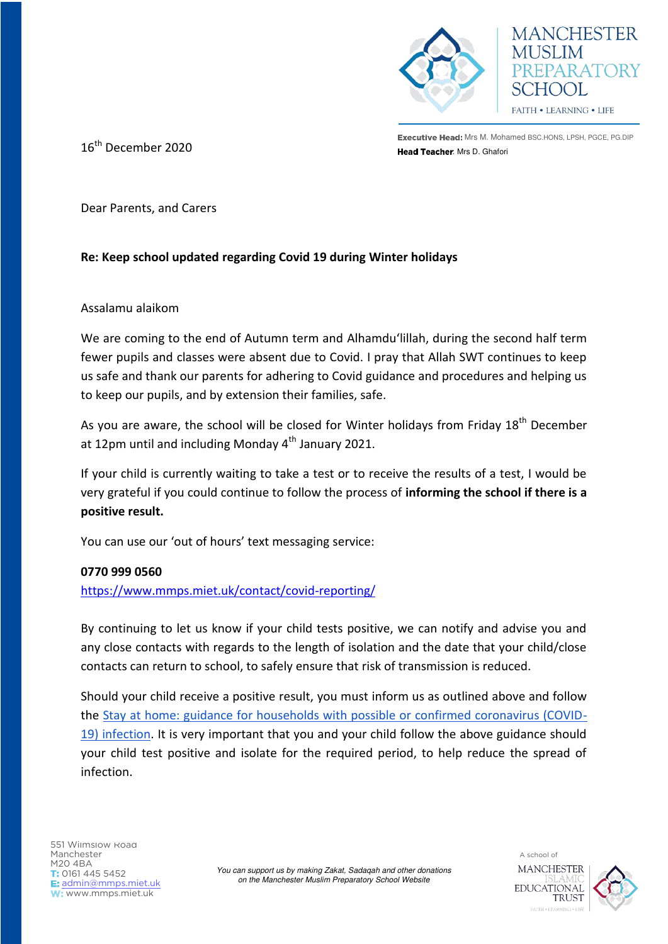

Executive Head: Mrs M. Mohamed BSC.HONS, LPSH, PGCE, PG.DIP **16<sup>th</sup> December 2020 16th and 19th Street Peak Pread Teacher**: Mrs D. Ghafori

**MANCHESTER** 

**HOOL** FAITH . LEARNING . LIFE

EPARATORY

Dear Parents, and Carers

## **Re: Keep school updated regarding Covid 19 during Winter holidays**

## Assalamu alaikom

We are coming to the end of Autumn term and Alhamdu'lillah, during the second half term fewer pupils and classes were absent due to Covid. I pray that Allah SWT continues to keep us safe and thank our parents for adhering to Covid guidance and procedures and helping us to keep our pupils, and by extension their families, safe.

As you are aware, the school will be closed for Winter holidays from Friday 18<sup>th</sup> December at 12pm until and including Monday  $4<sup>th</sup>$  January 2021.

If your child is currently waiting to take a test or to receive the results of a test, I would be very grateful if you could continue to follow the process of **informing the school if there is a positive result.** 

You can use our 'out of hours' text messaging service:

## **0770 999 0560**

<https://www.mmps.miet.uk/contact/covid-reporting/>

By continuing to let us know if your child tests positive, we can notify and advise you and any close contacts with regards to the length of isolation and the date that your child/close contacts can return to school, to safely ensure that risk of transmission is reduced.

Should your child receive a positive result, you must inform us as outlined above and follow the [Stay at home: guidance for households with possible or confirmed coronavirus \(COVID-](https://www.gov.uk/government/publications/covid-19-stay-at-home-guidance/stay-at-home-guidance-for-households-with-possible-coronavirus-covid-19-infection)[19\) infection.](https://www.gov.uk/government/publications/covid-19-stay-at-home-guidance/stay-at-home-guidance-for-households-with-possible-coronavirus-covid-19-infection) It is very important that you and your child follow the above guidance should your child test positive and isolate for the required period, to help reduce the spread of infection.